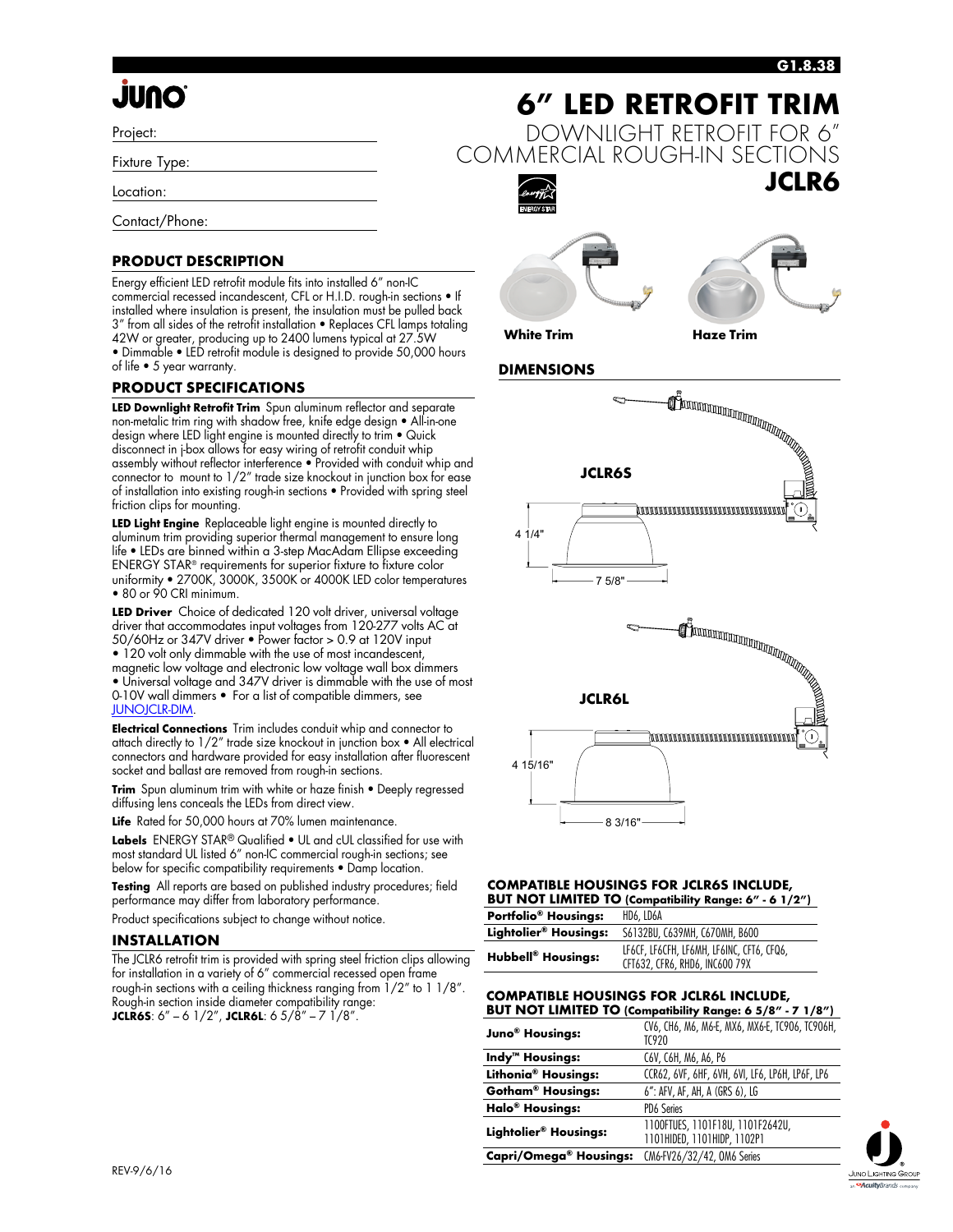### **G1.8.38**

# **QNUL**

Project:

Fixture Type:

Location:

Contact/Phone:

### **PRODUCT DESCRIPTION**

Energy efficient LED retrofit module fits into installed 6" non-IC commercial recessed incandescent, CFL or H.I.D. rough-in sections • If installed where insulation is present, the insulation must be pulled back 3" from all sides of the retrofit installation • Replaces CFL lamps totaling 42W or greater, producing up to 2400 lumens typical at 27.5W • Dimmable • LED retrofit module is designed to provide 50,000 hours of life • 5 year warranty.

### **PRODUCT SPECIFICATIONS**

**LED Downlight Retrofit Trim** Spun aluminum reflector and separate non-metalic trim ring with shadow free, knife edge design • All-in-one design where LED light engine is mounted directly to trim • Quick disconnect in j-box allows for easy wiring of retrofit conduit whip assembly without reflector interference • Provided with conduit whip and connector to mount to 1/2" trade size knockout in junction box for ease of installation into existing rough-in sections • Provided with spring steel friction clips for mounting.

**LED Light Engine** Replaceable light engine is mounted directly to aluminum trim providing superior thermal management to ensure long life • LEDs are binned within a 3-step MacAdam Ellipse exceeding ENERGY STAR® requirements for superior fixture to fixture color uniformity • 2700K, 3000K, 3500K or 4000K LED color temperatures • 80 or 90 CRI minimum.

**LED Driver** Choice of dedicated 120 volt driver, universal voltage driver that accommodates input voltages from 120-277 volts AC at 50/60Hz or 347V driver • Power factor > 0.9 at 120V input • 120 volt only dimmable with the use of most incandescent, magnetic low voltage and electronic low voltage wall box dimmers • Universal voltage and 347V driver is dimmable with the use of most 0-10V wall dimmers • For a list of compatible dimmers, see [JUNOJCLR-DIM.](http://www.junolightinggroup.com/attachments/images/content/SpecSheets/JUNOJCLR-DIM.pdf)

**Electrical Connections** Trim includes conduit whip and connector to attach directly to 1/2" trade size knockout in junction box • All electrical connectors and hardware provided for easy installation after fluorescent socket and ballast are removed from rough-in sections.

**Trim** Spun aluminum trim with white or haze finish • Deeply regressed diffusing lens conceals the LEDs from direct view.

**Life** Rated for 50,000 hours at 70% lumen maintenance.

**Labels** ENERGY STAR® Qualified • UL and cUL classified for use with most standard UL listed 6" non-IC commercial rough-in sections; see below for specific compatibility requirements • Damp location.

**Testing** All reports are based on published industry procedures; field performance may differ from laboratory performance.

Product specifications subject to change without notice.

### **INSTALLATION**

The JCLR6 retrofit trim is provided with spring steel friction clips allowing for installation in a variety of 6" commercial recessed open frame rough-in sections with a ceiling thickness ranging from 1/2" to 1 1/8". Rough-in section inside diameter compatibility range: **JCLR6S**:  $6'' - 6$  1/2", **JCLR6L**:  $6$  5/ $8'' - 7$  1/ $8''$ .









**White Trim Haze Trim**

### **DIMENSIONS**



### **COMPATIBLE HOUSINGS FOR JCLR6S INCLUDE, BUT NOT LIMITED TO (Compatibility Range: 6" - 6 1/2")**

| Portfolio <sup>®</sup> Housings:     | HD6. LD6A                                                                   |
|--------------------------------------|-----------------------------------------------------------------------------|
| Lightolier <sup>®</sup> Housings:    | S6132BU, C639MH, C670MH, B600                                               |
| <b>Hubbell<sup>®</sup> Housings:</b> | LF6CF. LF6CFH. LF6MH. LF6INC. CFT6. CFQ6.<br>CFT632, CFR6, RHD6, INC600 79X |

### **COMPATIBLE HOUSINGS FOR JCLR6L INCLUDE, BUT NOT LIMITED TO (Compatibility Range: 6 5/8" - 7 1/8")**

**Juno<sup>®</sup> Housings:** CV6, CH6, M6, M6-E, MX6, MX6-E, TC906, TC906H, TC920 **Indy™ Housings:** C6V, C6H, M6, A6, P6 **Lithonia® Housings:** CCR62, 6VF, 6HF, 6VH, 6VI, LF6, LP6H, LP6F, LP6 **Gotham® Housings:** 6": AFV, AF, AH, A (GRS 6), LG **Halo® Housings:** PD6 Series **Lightolier<sup>®</sup> Housings:** 1100FTUES, 1101F18U, 1101F2642U, 1101HIDED, 1101HIDP, 1102P1 **Capri/Omega® Housings:** CM6-FV26/32/42, OM6 Series

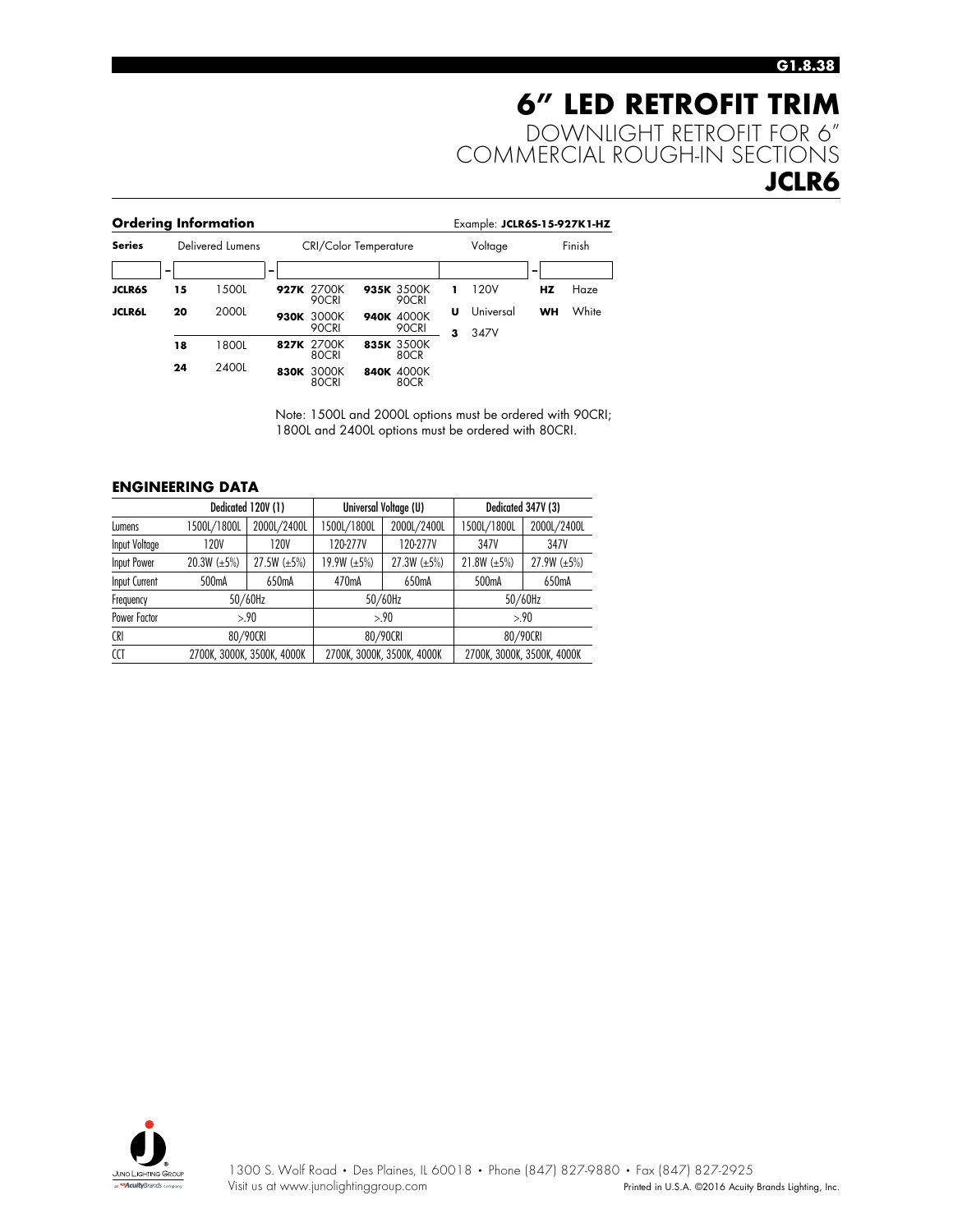## **6" LED RETROFIT TRIM** DOWNLIGHT RETROFIT FOR 6" COMMERCIAL ROUGH-IN SECTIONS **JCLR6**

|               |    | <b>Ordering Information</b> |      |                              |      |                     |   | Example: JCLR6S-15-927K1-HZ |           |        |
|---------------|----|-----------------------------|------|------------------------------|------|---------------------|---|-----------------------------|-----------|--------|
| <b>Series</b> |    | Delivered Lumens            |      | <b>CRI/Color Temperature</b> |      |                     |   | Voltage                     |           | Finish |
|               | -  |                             | -    |                              |      |                     |   |                             | -         |        |
| <b>JCLR6S</b> | 15 | 1500L                       |      | 927K 2700K<br>90CRI          |      | 935K 3500K<br>90CRI |   | 120V                        | HZ        | Haze   |
| <b>JCLR6L</b> | 20 | 2000L                       | 930K | 3000K<br>90CRI               |      | 940K 4000K<br>90CRI | U | Universal                   | <b>WH</b> | White  |
|               | 18 | 1800L                       |      | 827K 2700K<br>80CRI          |      | 835K 3500K<br>80CR  | 3 | 347V                        |           |        |
|               | 24 | 2400L                       | 830K | 3000K<br>80CRI               | 840K | 4000K<br>80CR       |   |                             |           |        |

Note: 1500L and 2000L options must be ordered with 90CRI; 1800L and 2400L options must be ordered with 80CRI.

### **ENGINEERING DATA**

| Dedicated 120V (1)   |                            |                   | Universal Voltage (U) |                            | Dedicated 347V (3) |                            |
|----------------------|----------------------------|-------------------|-----------------------|----------------------------|--------------------|----------------------------|
| Lumens               | 1500L/1800L                | 2000L/2400L       | 1500L/1800L           | 2000L/2400L                | 1500L/1800L        | 2000L/2400L                |
| Input Voltage        | 120V                       | 120V              | 120-277V              | 120-277V                   | 347V               | 347V                       |
| Input Power          | 20.3W $(\pm 5\%)$          | $27.5W (\pm 5\%)$ | 19.9W $(\pm 5\%)$     | 27.3W $(\pm 5\%)$          | 21.8W $(\pm 5\%)$  | 27.9W $(\pm 5\%)$          |
| <b>Input Current</b> | 500 <sub>m</sub> A         | 650mA             | 470 <sub>m</sub> A    | 650mA                      | 500 <sub>m</sub> A | 650mA                      |
| Frequency            |                            | 50/60Hz           |                       | 50/60Hz                    |                    | 50/60Hz                    |
| Power Factor         | >90                        |                   | > 90                  |                            | >90                |                            |
| <b>CRI</b>           | 80/90CRI                   |                   | 80/90CRI              |                            | 80/90CRI           |                            |
| <b>CCT</b>           | 2700K, 3000K, 3500K, 4000K |                   |                       | 2700K. 3000K. 3500K. 4000K |                    | 2700K, 3000K, 3500K, 4000K |

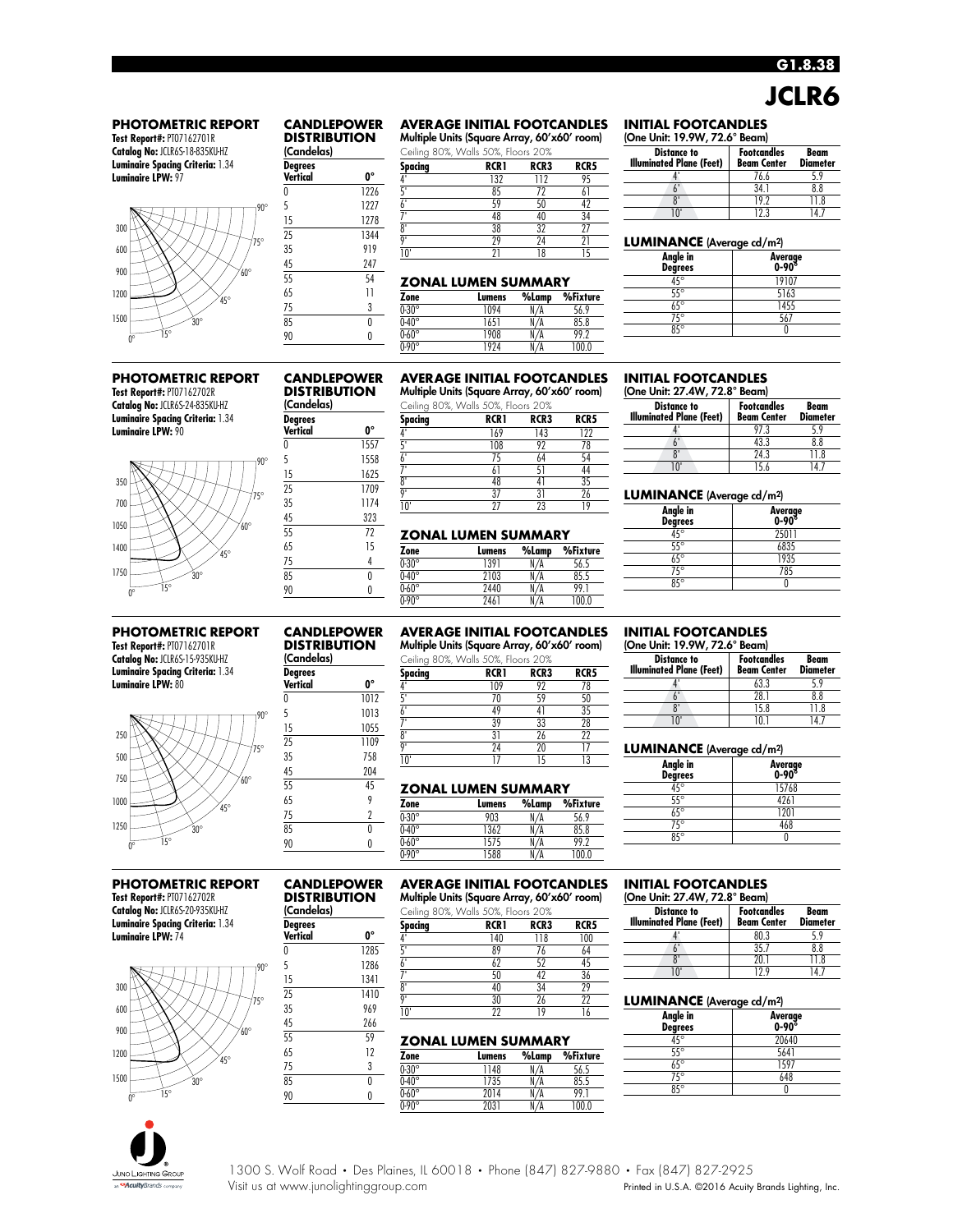## **G1.8.38 JCLR6**

### **PHOTOMETRIC REPORT**

**Test Report#:** PT07162701R **Catalog No:** JCLR6S-18-835KU-HZ **Luminaire Spacing Criteria:** 1.34 **Luminaire LPW:** 97



#### **CANDLEPOWER DISTRIBUTION**

(Candelas) **Degrees Vertical 0°**

| Spacing | <b>RCR1</b> | RCR3 | RCR5 |
|---------|-------------|------|------|
|         | 132         | 112  | 95   |
|         | 85          |      |      |
|         | 59          | 50   |      |
|         | 48          | 40   | 34   |
| n۱      | 38          | 32   |      |
| n۱      | 29          | 24   |      |
|         |             |      |      |

**AVERAGE INITIAL FOOTCANDLES** Multiple Units (Square Array, 60'x60' room)

### **ZONAL LUMEN SUMMARY**

| Zone         | Lumens | %Lamp | %Fixture |
|--------------|--------|-------|----------|
| $0.30^\circ$ | 1094   |       | 56.9     |
| $0.40^\circ$ | 1651   |       | 85.8     |
| $0.60^\circ$ | 1908   | N/A   | 99.2     |
| $0.90^\circ$ | 1924   |       | 100.0    |

**AVERAGE INITIAL FOOTCANDLES**

### **INITIAL FOOTCANDLES**

(One Unit: 19.9W, 72.6° Beam) **Distance to Illuminated Plane (Feet) Footcandles Beam Center Beam** Diameter<br>5.9 4' 76.6 5.9 6' 34.1 8.8 8' 19.2 11.8<br>10' 12.3 14.7 10' 12.3 14.7

### **LUMINANCE** (Average cd/m2)

| Angle in<br><b>Degrees</b> | Average<br>0-90° |
|----------------------------|------------------|
| $45^\circ$                 | 19107            |
| $55^\circ$                 | 5163             |
| $65^\circ$                 | 1455             |
| $\overline{75^\circ}$      | 567              |
| $85^\circ$                 |                  |
|                            |                  |

### **PHOTOMETRIC REPORT Test Report#:** PT07162702R **Catalog No:** JCLR6S-24-835KU-HZ

**Luminaire Spacing Criteria:** 1.34 **Luminaire LPW:** 90



### **PHOTOMETRIC REPORT**

**Test Report#:** PT07162701R **Catalog No:** JCLR6S-15-935KU-HZ **Luminaire Spacing Criteria:** 1.34 **Luminaire LPW:** 80



### **PHOTOMETRIC REPORT Test Report#:** PT07162702R

**Catalog No:** JCLR6S-20-935KU-HZ **Luminaire Spacing Criteria:** 1.34 **Luminaire LPW:** 74



# **Vertical 0°**

| Multiple Units (Square Array, 60'x60' room) |      |      |      |  |  |  |
|---------------------------------------------|------|------|------|--|--|--|
| Ceiling 80%, Walls 50%, Floors 20%          |      |      |      |  |  |  |
| Spacing                                     | RCRI | RCR3 | RCR5 |  |  |  |
|                                             | 140  | 118  | 100  |  |  |  |
| ٢,                                          | 89   | 76   | 64   |  |  |  |

|                | .              | -----          |                |
|----------------|----------------|----------------|----------------|
|                | 0 <sub>0</sub> |                |                |
|                | r              | $\overline{r}$ |                |
|                | r n            |                |                |
| $^{\circ}$     |                |                | $\overline{2}$ |
| $\overline{0}$ |                |                |                |
| $\overline{N}$ |                |                |                |

### **ZONAL LUMEN SUMMARY**

| 65 | ף ו | Zone         | Lumens | %Lamp | %Fixture |
|----|-----|--------------|--------|-------|----------|
|    | υ   | $0.30^\circ$ | 148    | N/A   | 56.5     |
| 85 |     | $0.40^\circ$ | 735    | N/A   | 85.5     |
| 90 |     | $0.60^\circ$ | 2014   | N/A   | 99.1     |
|    |     | $0.90^\circ$ | 2031   | N/A   | 00.0     |

### **INITIAL FOOTCANDLES**

(One Unit: 27.4W, 72.8° Beam)

| <b>Distance to</b><br><b>Illuminated Plane (Feet)</b> | <b>Footcandles</b><br><b>Beam Center</b> | Beam<br><b>Diameter</b> |
|-------------------------------------------------------|------------------------------------------|-------------------------|
|                                                       | 97.3                                     | 59                      |
|                                                       | 43.3                                     | 8.8                     |
| ጸ'                                                    | 24.3                                     | 11 8                    |
| יחו                                                   | 15 h                                     |                         |

### **LUMINANCE** (Average cd/m2)

| Angle in<br>Degrees | Average<br>0-90° |
|---------------------|------------------|
| $45^\circ$          | 25011            |
| $55^\circ$          | 6835             |
| $65^\circ$          | 1935             |
| $75^\circ$          | 785              |
| $8\overline{5}$ °   |                  |
|                     |                  |

### **INITIAL FOOTCANDLES**

(One Unit: 19.9W, 72.6° Beam)

| <b>Distance to</b><br><b>Illuminated Plane (Feet)</b> | Footcandles<br><b>Beam Center</b> | Beam<br><b>Diameter</b> |
|-------------------------------------------------------|-----------------------------------|-------------------------|
|                                                       | 63.3                              |                         |
|                                                       | 28.1                              | 8.8                     |
| δ.                                                    | 15.8                              |                         |
| ١n                                                    |                                   |                         |

### **LUMINANCE** (Average cd/m2)

| Angle in<br>Degrees     | Average<br>0-90° |
|-------------------------|------------------|
| $45^\circ$              | 15768            |
| $\overline{55^{\circ}}$ | 4261             |
| $\overline{65^\circ}$   | 1201             |
| $\overline{75^{\circ}}$ | 468              |
| $85^\circ$              |                  |
|                         |                  |

#### **INITIAL FOOTCANDLES** (One Unit: 27.4W, 72.8° Beam)

| <b>Distance to</b><br><b>Illuminated Plane (Feet)</b> | <b>Footcandles</b><br><b>Beam Center</b> | Beam<br><b>Diameter</b> |  |
|-------------------------------------------------------|------------------------------------------|-------------------------|--|
|                                                       | 80.3                                     | ، ۹                     |  |
|                                                       | 35.7                                     | 8.8                     |  |
|                                                       | 20 I                                     | 11 R                    |  |
| ın                                                    | 129                                      |                         |  |

### **LUMINANCE** (Average cd/m2)

| Angle in<br>Degrees   | Average<br>0-90° |
|-----------------------|------------------|
| $45^{\circ}$          | 20640            |
| $55^\circ$            | 5641             |
| $\overline{65^\circ}$ | 1597             |
| $75^{\circ}$          | 648              |
| 85°                   |                  |
|                       |                  |



### **CANDLEPOWER DISTRIBUTION** (Candelas)

| <b>DISTRIBUTION</b><br>(Candelas) |      | Multiple Units (Square Array, 60'x60' room)<br>Ceiling 80%, Walls 50%, Floors 20% |       |      |      |
|-----------------------------------|------|-----------------------------------------------------------------------------------|-------|------|------|
| Degrees<br>Vertical               | ŋ۰   | Spacing                                                                           | RCR 1 | RCR3 | RCR5 |
|                                   |      |                                                                                   | 169   | 143  | 122  |
| 0                                 | 1557 |                                                                                   | 108   | 92   | 78   |
| 5                                 | 1558 |                                                                                   | 75    | 64   | 54   |
| 15                                | 1625 |                                                                                   | 61    | 51   | 44   |
|                                   |      | $^{\circ}$                                                                        | 48    |      | 35   |
| 25                                | 1709 | n'                                                                                | 37    | 31   | 26   |
| 35                                | 1174 | 10'                                                                               | 27    | 23   | 19   |
| 45                                | 323  |                                                                                   |       |      |      |

### **ZONAL LUMEN SUMMARY**

| Zone         | Lumens | %Lamp      | %Fixture |
|--------------|--------|------------|----------|
| $0.30^\circ$ | 1391   | $\sqrt{A}$ | 56.5     |
| $0.40^\circ$ | 2103   | ′Д         |          |
| $0.60^\circ$ | 2440   | N/A        | 99       |
| $0.90^\circ$ | 2461   |            | 100.0    |

## **AVERAGE INITIAL FOOTCANDLES**

Multiple Units (Square Array, 60'x60' room)

| (Candelas)      |      |         | Ceiling 80%, Walls 50%, Floors 20% |      |      |
|-----------------|------|---------|------------------------------------|------|------|
| <b>Degrees</b>  |      | Spacing | <b>RCR1</b>                        | RCR3 | RCR5 |
| <b>Vertical</b> | O۰   |         | 109                                | 92   |      |
| $\theta$        | 1012 |         |                                    | 59   | 50   |
|                 | 1013 |         | 49                                 | 4    | 35   |
| 15              | 1055 |         | 39                                 | 33   | 28   |
| 25              | 1109 | o۱      | 31                                 | 26   | 22   |
|                 |      | n'      | 24                                 | 20   |      |
| 35              | 758  | 10'     |                                    |      | 13   |
| 45              | 204  |         |                                    |      |      |
| 55              | 45   |         | <b>TANIAI IIIMENI CIIMMADV</b>     |      |      |

### **ZONAL LUMEN SUMMARY**

| Zone         | Lumens | %Lamp | %Fixture |
|--------------|--------|-------|----------|
| $0.30^\circ$ | 903    |       | 56.9     |
| $0.40^\circ$ | 1362   |       | 85.8     |
| $0.60^\circ$ | 575    | А     | 99 2     |
| $0.90^\circ$ | 1588   |       | 1 NO N   |

85 0 90 0

### **AVERAGE INITIAL FOOTCANDLES CANDLEPOWER**

### **DISTRIBUTION** (Candelas)

0 1285 5 1286 15 1341 25 1410 35 969 45 266 55 59

**CANDLEPOWER DISTRIBUTION** (Candelas) **Degrees**

65 9 75 2

### **Degrees**